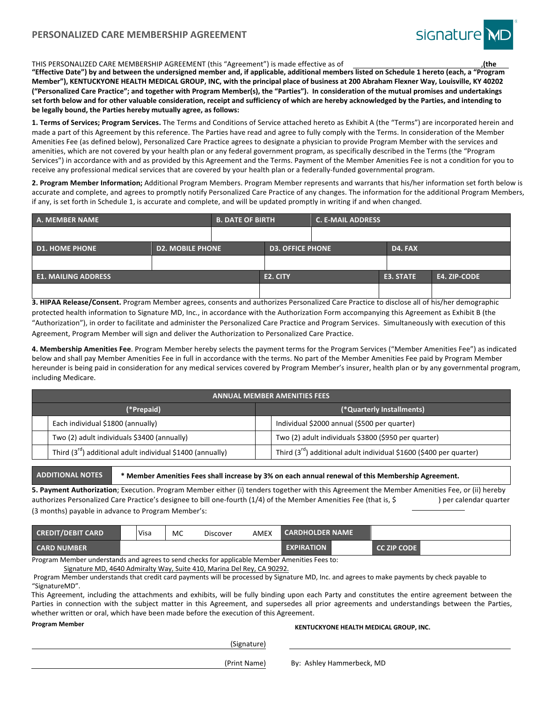

#### THIS PERSONALIZED CARE MEMBERSHIP AGREEMENT (this "Agreement") is made effective as of

"Effective Date") by and between the undersigned member and, if applicable, additional members listed on Schedule 1 hereto (each, a "Program Member"), KENTUCKYONE HEALTH MEDICAL GROUP, INC, with the principal place of business at 200 Abraham Flexner Way, Louisville, KY 40202

("Personalized Care Practice"; and together with Program Member(s), the "Parties"). In consideration of the mutual promises and undertakings set forth below and for other valuable consideration, receipt and sufficiency of which are hereby acknowledged by the Parties, and intending to be legally bound, the Parties hereby mutually agree, as follows:

1. Terms of Services; Program Services. The Terms and Conditions of Service attached hereto as Exhibit A (the "Terms") are incorporated herein and made a part of this Agreement by this reference. The Parties have read and agree to fully comply with the Terms. In consideration of the Member Amenities Fee (as defined below), Personalized Care Practice agrees to designate a physician to provide Program Member with the services and amenities, which are not covered by your health plan or any federal government program, as specifically described in the Terms (the "Program Services") in accordance with and as provided by this Agreement and the Terms. Payment of the Member Amenities Fee is not a condition for you to receive any professional medical services that are covered by your health plan or a federally-funded governmental program.

2. Program Member Information; Additional Program Members. Program Member represents and warrants that his/her information set forth below is accurate and complete, and agrees to promptly notify Personalized Care Practice of any changes. The information for the additional Program Members, if any, is set forth in Schedule 1, is accurate and complete, and will be updated promptly in writing if and when changed.

| A. MEMBER NAME             |                         | <b>B. DATE OF BIRTH</b> |                         | <b>C. E-MAIL ADDRESS</b> |                     |  |
|----------------------------|-------------------------|-------------------------|-------------------------|--------------------------|---------------------|--|
|                            |                         |                         |                         |                          |                     |  |
| <b>D1. HOME PHONE</b>      | <b>D2. MOBILE PHONE</b> |                         | <b>D3. OFFICE PHONE</b> |                          | D4. FAX             |  |
|                            |                         |                         |                         |                          |                     |  |
| <b>E1. MAILING ADDRESS</b> |                         | E2. CITY                |                         | E3. STATE                | <b>E4. ZIP-CODE</b> |  |
|                            |                         |                         |                         |                          |                     |  |

3. HIPAA Release/Consent. Program Member agrees, consents and authorizes Personalized Care Practice to disclose all of his/her demographic protected health information to Signature MD, Inc., in accordance with the Authorization Form accompanying this Agreement as Exhibit B (the "Authorization"), in order to facilitate and administer the Personalized Care Practice and Program Services. Simultaneously with execution of this Agreement, Program Member will sign and deliver the Authorization to Personalized Care Practice.

4. Membership Amenities Fee. Program Member hereby selects the payment terms for the Program Services ("Member Amenities Fee") as indicated below and shall pay Member Amenities Fee in full in accordance with the terms. No part of the Member Amenities Fee paid by Program Member hereunder is being paid in consideration for any medical services covered by Program Member's insurer, health plan or by any governmental program, including Medicare.

| <b>ANNUAL MEMBER AMENITIES FEES</b>                                     |                           |                                                                         |  |  |  |  |
|-------------------------------------------------------------------------|---------------------------|-------------------------------------------------------------------------|--|--|--|--|
| (*Prepaid)                                                              | (*Quarterly Installments) |                                                                         |  |  |  |  |
| Each individual \$1800 (annually)                                       |                           | Individual \$2000 annual (\$500 per quarter)                            |  |  |  |  |
| Two (2) adult individuals \$3400 (annually)                             |                           | Two (2) adult individuals \$3800 (\$950 per quarter)                    |  |  |  |  |
| Third (3 $^{\text{rd}}$ ) additional adult individual \$1400 (annually) |                           | Third $(3^{rd})$ additional adult individual \$1600 (\$400 per quarter) |  |  |  |  |

# ADDITIONAL NOTES **<b>WAGG** \* Member Amenities Fees shall increase by 3% on each annual renewal of this Membership Agreement.

5. Payment Authorization; Execution. Program Member either (i) tenders together with this Agreement the Member Amenities Fee, or (ii) hereby authorizes Personalized Care Practice's designee to bill one-fourth (1/4) of the Member Amenities Fee (that is, \$) per calendar quarter (3 months) payable in advance to Program Member's:

| <b>CREDIT/DEBIT CARD</b> | Visa | MC | Discover | AMEX | <b>CARDHOLDER NAME</b> |                    |  |
|--------------------------|------|----|----------|------|------------------------|--------------------|--|
| <b>CARD NUMBER</b>       |      |    |          |      | <b>EXPIRATION</b>      | <b>CC ZIP CODE</b> |  |

Program Member understands and agrees to send checks for applicable Member Amenities Fees to: Signature MD, 4640 Admiralty Way, Suite 410, Marina Del Rey, CA 90292.

Program Member understands that credit card payments will be processed by Signature MD, Inc. and agrees to make payments by check payable to

"SignatureMD".

This Agreement, including the attachments and exhibits, will be fully binding upon each Party and constitutes the entire agreement between the Parties in connection with the subject matter in this Agreement, and supersedes all prior agreements and understandings between the Parties, whether written or oral, which have been made before the execution of this Agreement.

(Signature)

# Program Member<br> **KENTUCKYONE HEALTH MEDICAL GROUP, INC.**

(Print Name) By: Ashley Hammerbeck, MD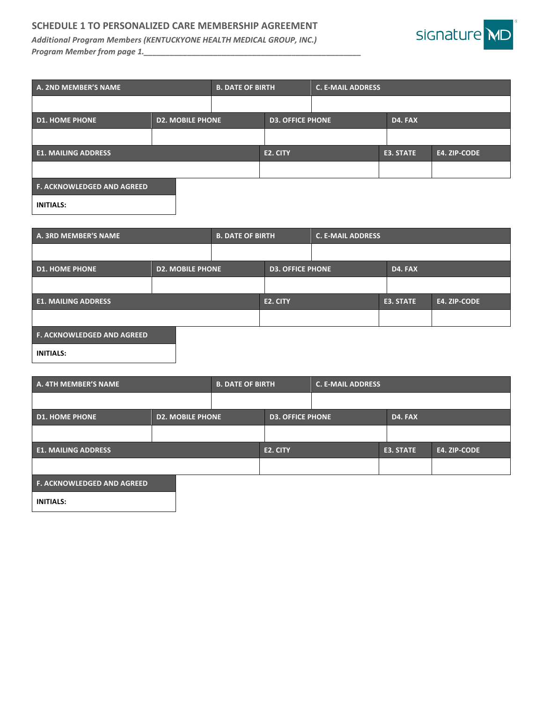# SCHEDULE 1 TO PERSONALIZED CARE MEMBERSHIP AGREEMENT

**Additional Program Members (KENTUCKYONE HEALTH MEDICAL GROUP, INC.)** *Program Member from page 1.\_* 



| A. 2ND MEMBER'S NAME                             |  | <b>B. DATE OF BIRTH</b> |                         | <b>C. E-MAIL ADDRESS</b> |              |  |  |
|--------------------------------------------------|--|-------------------------|-------------------------|--------------------------|--------------|--|--|
|                                                  |  |                         |                         |                          |              |  |  |
| <b>D1. HOME PHONE</b><br><b>D2. MOBILE PHONE</b> |  |                         | <b>D3. OFFICE PHONE</b> |                          | D4. FAX      |  |  |
|                                                  |  |                         |                         |                          |              |  |  |
| <b>E1. MAILING ADDRESS</b>                       |  | E2. CITY                |                         | E3. STATE                | E4. ZIP-CODE |  |  |
|                                                  |  |                         |                         |                          |              |  |  |
| <b>F. ACKNOWLEDGED AND AGREED</b>                |  |                         |                         |                          |              |  |  |
| <b>INITIALS:</b>                                 |  |                         |                         |                          |              |  |  |

| A. 3RD MEMBER'S NAME              |                         | <b>B. DATE OF BIRTH</b> |                         | <b>C. E-MAIL ADDRESS</b> |           |              |
|-----------------------------------|-------------------------|-------------------------|-------------------------|--------------------------|-----------|--------------|
|                                   |                         |                         |                         |                          |           |              |
| <b>D1. HOME PHONE</b>             | <b>D2. MOBILE PHONE</b> |                         | <b>D3. OFFICE PHONE</b> |                          | D4. FAX   |              |
|                                   |                         |                         |                         |                          |           |              |
| <b>E1. MAILING ADDRESS</b>        |                         |                         | E2. CITY                |                          | E3. STATE | E4. ZIP-CODE |
|                                   |                         |                         |                         |                          |           |              |
| <b>F. ACKNOWLEDGED AND AGREED</b> |                         |                         |                         |                          |           |              |
| <b>INITIALS:</b>                  |                         |                         |                         |                          |           |              |

| A. 4TH MEMBER'S NAME              |                         | <b>B. DATE OF BIRTH</b> |                         | <b>C. E-MAIL ADDRESS</b> |              |  |  |
|-----------------------------------|-------------------------|-------------------------|-------------------------|--------------------------|--------------|--|--|
|                                   |                         |                         |                         |                          |              |  |  |
| <b>D1. HOME PHONE</b>             | <b>D2. MOBILE PHONE</b> |                         | <b>D3. OFFICE PHONE</b> |                          | D4. FAX      |  |  |
|                                   |                         |                         |                         |                          |              |  |  |
| <b>E1. MAILING ADDRESS</b>        |                         | E2. CITY                |                         | E3. STATE                | E4. ZIP-CODE |  |  |
|                                   |                         |                         |                         |                          |              |  |  |
| <b>F. ACKNOWLEDGED AND AGREED</b> |                         |                         |                         |                          |              |  |  |

**INITIALS:**